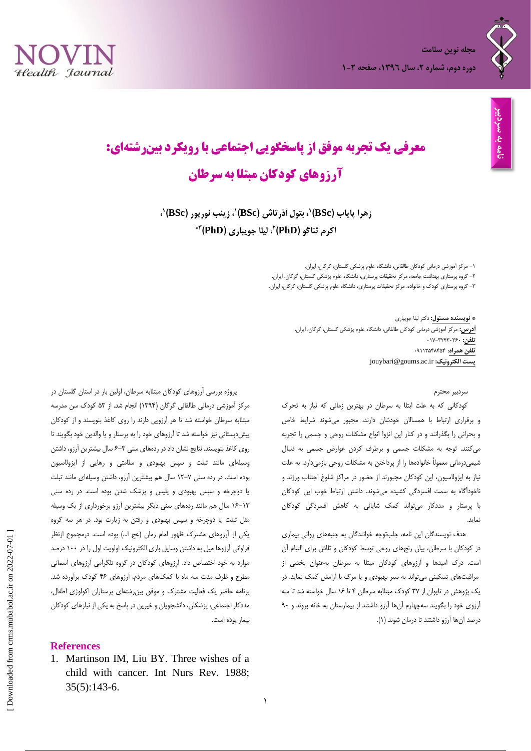



# **معرفی یک تجربه موفق از پاسخگویی اجتماعی با رویکرد بینرشتهای: آرزوهای کودکان مبتلا به سرطان**

**،<sup>9</sup> بتول آذرتاش زهرا پایاب )BSc) )BSc( 9 9 ، زینب نورپور )BSc) ، 2 اکرم ثناگو )PhD) 3\* ، لیلا جویباری )PhD)**

> -6 مرکز آموزشی درمانی کودکان طالقانی، دانشگاه علوم پزشکی گلستان، گرگان، ایران. -1 گروه پرستاری بهداشت جامعه، مرکز تحقیقات پرستاری، دانشگاه علوم پزشکی گلستان، گرگان، ایران. -7 گروه پرستاری کودک و خانواده، مرکز تحقیقات پرستاری، دانشگاه علوم پزشکی گلستان، گرگان، ایران.

> > **\* نویسنده مسئول:** دکتر لیلا جویباری **آدرس:** مرکز آموزشی درمانی کودکان طالقانی، دانشگاه علوم پزشکی گلستان، گرگان، ایران. **تلفن:** 963-71479719 **تلفن همراه**: 90667341434 jouybari@goums.ac.ir **:الکترونیک پست**

#### سردبیر محترم

کودکانی که به علت ابتلا به سرطان در بهترین زمانی که نیاز به تحرک و برقراری ارتباط با همسالان خودشان دارند، مجبور میشوند شرایط خاص و بحرانی را بگذرانند و در کنار این انزوا انواع مشکلات روحی و جسمی را تجربه میکنند. توجه به مشکلات جسمی و برطرف کردن عوارض جسمی به دنبال شیمیدرمانی معمولاً خانوادهها را از پرداختن به مشکلات روحی بازمیدارد. به علت نیاز به ایزولاسیون، این کودکان مجبورند از حضور در مراکز شلوغ اجتناب ورزند و ناخودآگاه به سمت افسردگی کشیده میشوند. داشتن ارتباط خوب این کودکان با پرستار و مددکار میتواند کمک شایانی به کاهش افسردگی کودکان نماید.

هدف نویسندگان این نامه، جلبتوجه خوانندگان به جنبههای روانی بیماری در کودکان با سرطان، بیان رنجهای روحی توسط کودکان و تلاش برای التیام آن است. درک امیدها و آرزوهای کودکان مبتلا به سرطان بهعنوان بخشی از مراقبتهای تسکینی میتواند به سیر بهبودی و یا مرگ با آرامش کمک نماید. در یک پژوهش در تایوان از 73 کودک مبتلابه سرطان 4 تا 61 سال خواسته شد تا سه آرزوی خود را بگویند سهچهارم آنها آرزو داشتند از بیمارستان به خانه بروند و 09 درصد آنها آرزو داشتند تا درمان شوند )6(.

پروژه بررسی آرزوهای کودکان مبتلابه سرطان، اولین بار در استان گلستان در مرکز آموزشی درمانی طالقانی گرگان )6704( انجام شد. از 37 کودک سن مدرسه مبتلابه سرطان خواسته شد تا هر آرزویی دارند را روی کاغذ بنویسند و از کودکان پیشدبستانی نیز خواسته شد تا آرزوهای خود را به پرستار و یا والدین خود بگویند تا روی کاغذ بنویسند. نتایج نشان داد در ردههای سنی 1-7 سال بیشترین آرزو، داشتن وسیلهای مانند تبلت و سپس بهبودی و سلامتی و رهایی از ایزولاسیون بوده است. در رده سنی 61-3 سال هم بیشترین آرزو، داشتن وسیلهای مانند تبلت یا دوچرخه و سپس بهبودی و پلیس و پزشک شدن بوده است. در رده سنی 61-67 سال هم مانند ردههای سنی دیگر بیشترین آرزو برخورداری از یک وسیله مثل تبلت یا دوچرخه و سپس بهبودی و رفتن به زیارت بود. در هر سه گروه یکی از آرزوهای مشترک ظهور امام زمان )عج ا...( بوده است. درمجموع ازنظر فراوانی آرزوها میل به داشتن وسایل بازی الکترونیک اولویت اول را در 699 درصد موارد به خود اختصاص داد. آرزوهای کودکان در گروه تلگرامی آرزوهای آسمانی مطرح و ظرف مدت سه ماه با کمکهای مردم، آرزوهای 41 کودک برآورده شد. برنامه حاضر یک فعالیت مشترک و موفق بینرشتهای پرستاران اکولوژی اطفال، مددکار اجتماعی، پزشکان، دانشجویان و خیرین در پاسخ به یکی از نیازهای کودکان بیمار بوده است.

## **References**

1. [Martinson IM,](https://www.ncbi.nlm.nih.gov/pubmed/?term=Martinson%20IM%5BAuthor%5D&cauthor=true&cauthor_uid=3263345) [Liu BY.](https://www.ncbi.nlm.nih.gov/pubmed/?term=Liu%20BY%5BAuthor%5D&cauthor=true&cauthor_uid=3263345) Three wishes of a child with cancer. [Int Nurs Rev.](https://www.ncbi.nlm.nih.gov/pubmed/?term=Martinson+IM%2C+Liu+BY.+Three+wishes+of+a+child+with+cancer.+Int+Nurs+Rev.+1988+Sep-Oct%3B+35\(5\)%3A143-6.) 1988; 35(5):143-6.